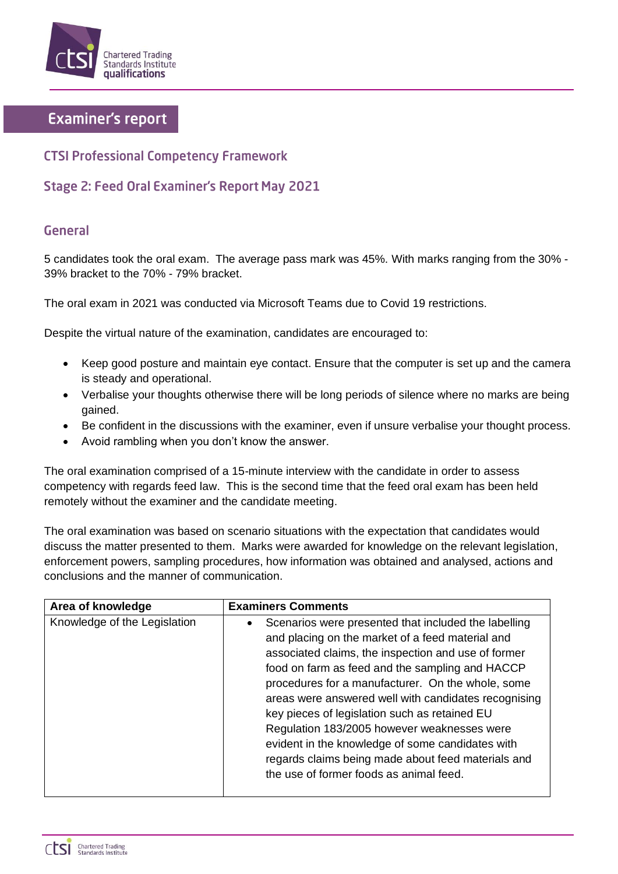

## **Examiner's report**

## **CTSI Professional Competency Framework**

## **Stage 2: Feed Oral Examiner's Report May 2021**

## General

5 candidates took the oral exam. The average pass mark was 45%. With marks ranging from the 30% - 39% bracket to the 70% - 79% bracket.

The oral exam in 2021 was conducted via Microsoft Teams due to Covid 19 restrictions.

Despite the virtual nature of the examination, candidates are encouraged to:

- Keep good posture and maintain eye contact. Ensure that the computer is set up and the camera is steady and operational.
- Verbalise your thoughts otherwise there will be long periods of silence where no marks are being gained.
- Be confident in the discussions with the examiner, even if unsure verbalise your thought process.
- Avoid rambling when you don't know the answer.

The oral examination comprised of a 15-minute interview with the candidate in order to assess competency with regards feed law. This is the second time that the feed oral exam has been held remotely without the examiner and the candidate meeting.

The oral examination was based on scenario situations with the expectation that candidates would discuss the matter presented to them. Marks were awarded for knowledge on the relevant legislation, enforcement powers, sampling procedures, how information was obtained and analysed, actions and conclusions and the manner of communication.

| Area of knowledge            | <b>Examiners Comments</b>                                                                                                                                                                                                                                                                                                                                                                                                                                                                                                                                                            |
|------------------------------|--------------------------------------------------------------------------------------------------------------------------------------------------------------------------------------------------------------------------------------------------------------------------------------------------------------------------------------------------------------------------------------------------------------------------------------------------------------------------------------------------------------------------------------------------------------------------------------|
| Knowledge of the Legislation | Scenarios were presented that included the labelling<br>and placing on the market of a feed material and<br>associated claims, the inspection and use of former<br>food on farm as feed and the sampling and HACCP<br>procedures for a manufacturer. On the whole, some<br>areas were answered well with candidates recognising<br>key pieces of legislation such as retained EU<br>Regulation 183/2005 however weaknesses were<br>evident in the knowledge of some candidates with<br>regards claims being made about feed materials and<br>the use of former foods as animal feed. |